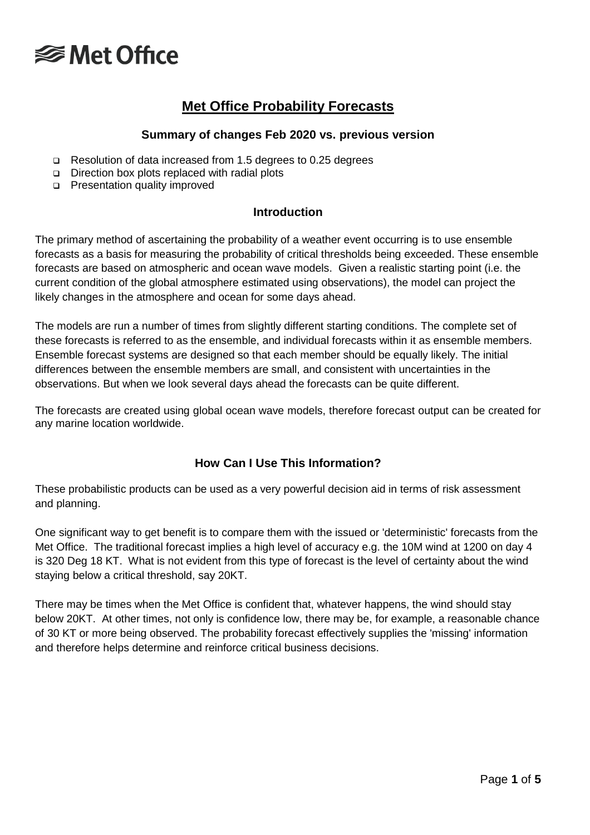

### **Met Office Probability Forecasts**

#### **Summary of changes Feb 2020 vs. previous version**

- Resolution of data increased from 1.5 degrees to 0.25 degrees
- □ Direction box plots replaced with radial plots
- **Presentation quality improved**

#### **Introduction**

The primary method of ascertaining the probability of a weather event occurring is to use ensemble forecasts as a basis for measuring the probability of critical thresholds being exceeded. These ensemble forecasts are based on atmospheric and ocean wave models. Given a realistic starting point (i.e. the current condition of the global atmosphere estimated using observations), the model can project the likely changes in the atmosphere and ocean for some days ahead.

The models are run a number of times from slightly different starting conditions. The complete set of these forecasts is referred to as the ensemble, and individual forecasts within it as ensemble members. Ensemble forecast systems are designed so that each member should be equally likely. The initial differences between the ensemble members are small, and consistent with uncertainties in the observations. But when we look several days ahead the forecasts can be quite different.

The forecasts are created using global ocean wave models, therefore forecast output can be created for any marine location worldwide.

### **How Can I Use This Information?**

These probabilistic products can be used as a very powerful decision aid in terms of risk assessment and planning.

One significant way to get benefit is to compare them with the issued or 'deterministic' forecasts from the Met Office. The traditional forecast implies a high level of accuracy e.g. the 10M wind at 1200 on day 4 is 320 Deg 18 KT. What is not evident from this type of forecast is the level of certainty about the wind staying below a critical threshold, say 20KT.

There may be times when the Met Office is confident that, whatever happens, the wind should stay below 20KT. At other times, not only is confidence low, there may be, for example, a reasonable chance of 30 KT or more being observed. The probability forecast effectively supplies the 'missing' information and therefore helps determine and reinforce critical business decisions.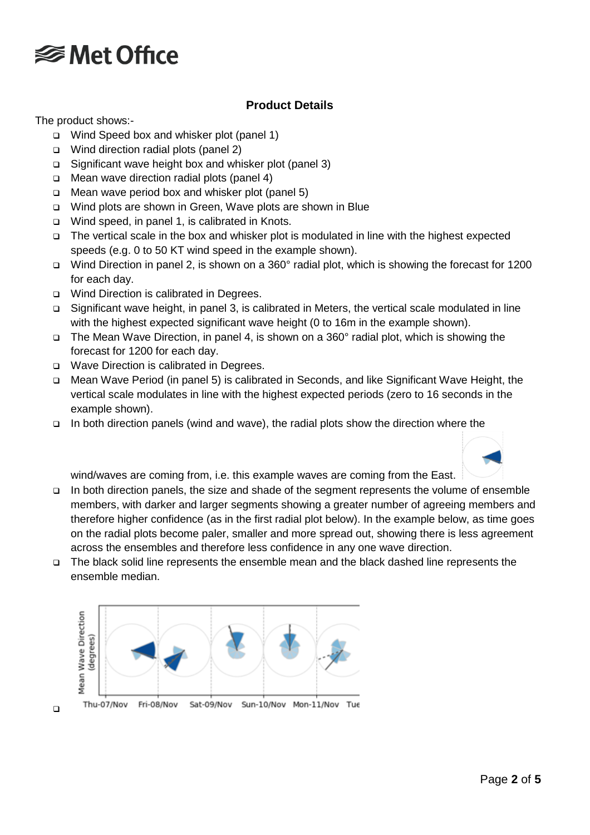

### **Product Details**

The product shows:-

- Wind Speed box and whisker plot (panel 1)
- □ Wind direction radial plots (panel 2)
- Significant wave height box and whisker plot (panel 3)
- □ Mean wave direction radial plots (panel 4)
- Mean wave period box and whisker plot (panel 5)
- □ Wind plots are shown in Green, Wave plots are shown in Blue
- □ Wind speed, in panel 1, is calibrated in Knots.
- The vertical scale in the box and whisker plot is modulated in line with the highest expected speeds (e.g. 0 to 50 KT wind speed in the example shown).
- Wind Direction in panel 2, is shown on a 360° radial plot, which is showing the forecast for 1200 for each day.
- □ Wind Direction is calibrated in Degrees.
- Significant wave height, in panel 3, is calibrated in Meters, the vertical scale modulated in line with the highest expected significant wave height (0 to 16m in the example shown).
- The Mean Wave Direction, in panel 4, is shown on a 360° radial plot, which is showing the forecast for 1200 for each day.
- □ Wave Direction is calibrated in Degrees.
- Mean Wave Period (in panel 5) is calibrated in Seconds, and like Significant Wave Height, the vertical scale modulates in line with the highest expected periods (zero to 16 seconds in the example shown).
- In both direction panels (wind and wave), the radial plots show the direction where the



wind/waves are coming from, i.e. this example waves are coming from the East.

- In both direction panels, the size and shade of the segment represents the volume of ensemble members, with darker and larger segments showing a greater number of agreeing members and therefore higher confidence (as in the first radial plot below). In the example below, as time goes on the radial plots become paler, smaller and more spread out, showing there is less agreement across the ensembles and therefore less confidence in any one wave direction.
- The black solid line represents the ensemble mean and the black dashed line represents the ensemble median.

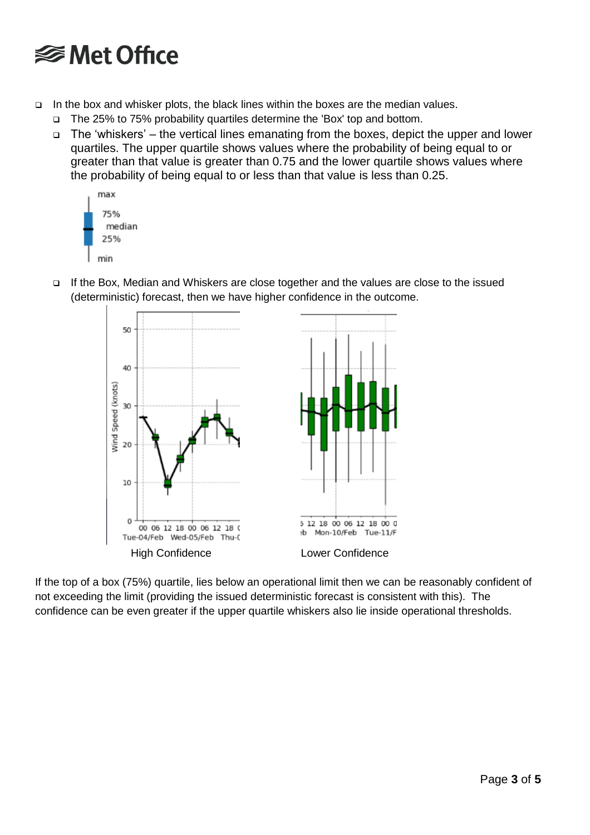# **<del></del>** Met Office

- In the box and whisker plots, the black lines within the boxes are the median values.
	- □ The 25% to 75% probability quartiles determine the 'Box' top and bottom.
	- The 'whiskers' the vertical lines emanating from the boxes, depict the upper and lower quartiles. The upper quartile shows values where the probability of being equal to or greater than that value is greater than 0.75 and the lower quartile shows values where the probability of being equal to or less than that value is less than 0.25.





□ If the Box, Median and Whiskers are close together and the values are close to the issued



If the top of a box (75%) quartile, lies below an operational limit then we can be reasonably confident of not exceeding the limit (providing the issued deterministic forecast is consistent with this). The confidence can be even greater if the upper quartile whiskers also lie inside operational thresholds.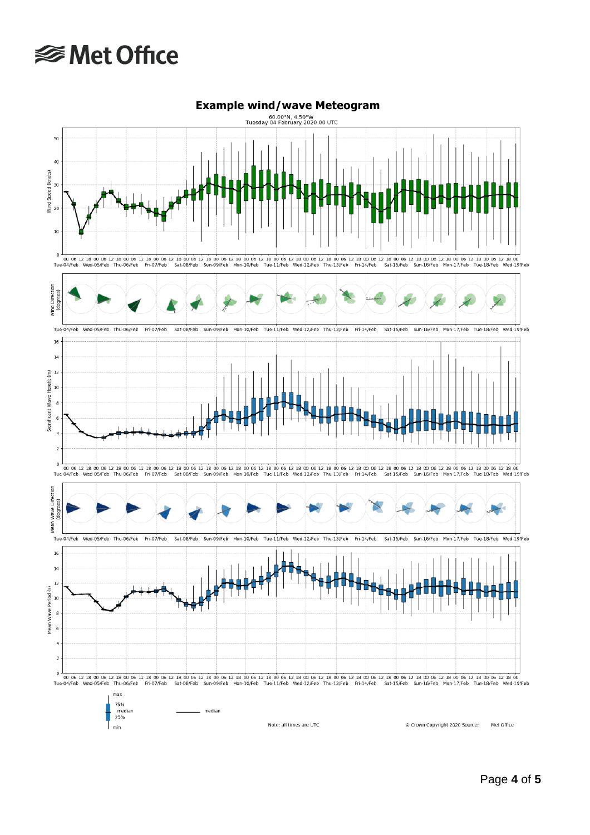# **<del></del>** Met Office